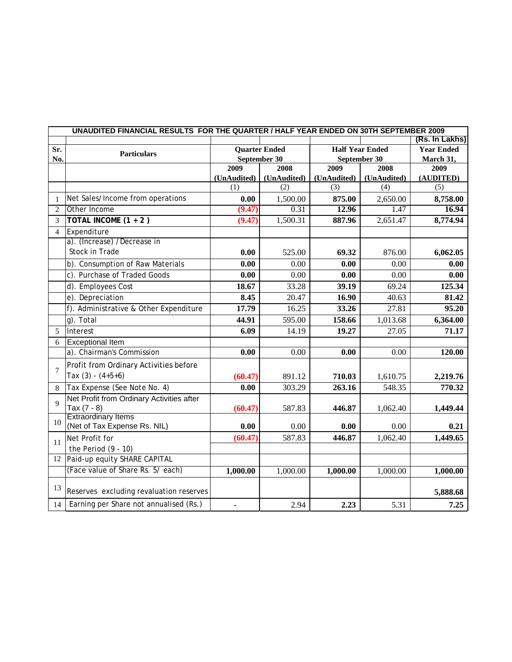|                | UNAUDITED FINANCIAL RESULTS FOR THE QUARTER / HALF YEAR ENDED ON 30TH SEPTEMBER 2009<br>(Rs. In Lakhs) |                      |             |              |                        |                   |  |
|----------------|--------------------------------------------------------------------------------------------------------|----------------------|-------------|--------------|------------------------|-------------------|--|
|                |                                                                                                        |                      |             |              |                        |                   |  |
| Sr.            | <b>Particulars</b>                                                                                     | <b>Quarter Ended</b> |             |              | <b>Half Year Ended</b> | <b>Year Ended</b> |  |
| No.            |                                                                                                        | September 30         |             | September 30 |                        | March 31,         |  |
|                |                                                                                                        | 2009                 | 2008        | 2009         | 2008                   | 2009              |  |
|                |                                                                                                        | (UnAudited)          | (UnAudited) | (UnAudited)  | (UnAudited)            | (AUDITED)         |  |
|                |                                                                                                        | (1)                  | (2)         | (3)          | (4)                    | (5)               |  |
| 1              | Net Sales/Income from operations                                                                       | 0.00                 | 1,500.00    | 875.00       | 2,650.00               | 8,758.00          |  |
| $\overline{2}$ | Other Income                                                                                           | (9.47)               | 0.31        | 12.96        | 1.47                   | 16.94             |  |
| 3              | TOTAL INCOME $(1 + 2)$                                                                                 | (9.47)               | 1,500.31    | 887.96       | 2,651.47               | 8,774.94          |  |
| $\overline{4}$ | Expenditure                                                                                            |                      |             |              |                        |                   |  |
|                | a). (Increase) /Decrease in                                                                            |                      |             |              |                        |                   |  |
|                | <b>Stock in Trade</b>                                                                                  | 0.00                 | 525.00      | 69.32        | 876.00                 | 6,062.05          |  |
|                | b). Consumption of Raw Materials                                                                       | 0.00                 | 0.00        | 0.00         | 0.00                   | 0.00              |  |
|                | c). Purchase of Traded Goods                                                                           | 0.00                 | 0.00        | 0.00         | 0.00                   | 0.00              |  |
|                | d). Employees Cost                                                                                     | 18.67                | 33.28       | 39.19        | 69.24                  | 125.34            |  |
|                | e). Depreciation                                                                                       | 8.45                 | 20.47       | 16.90        | 40.63                  | 81.42             |  |
|                | f). Administrative & Other Expenditure                                                                 | 17.79                | 16.25       | 33.26        | 27.81                  | 95.20             |  |
|                | $g$ ). Total                                                                                           | 44.91                | 595.00      | 158.66       | 1,013.68               | 6,364.00          |  |
| 5              | Interest                                                                                               | 6.09                 | 14.19       | 19.27        | 27.05                  | 71.17             |  |
| 6              | <b>Exceptional Item</b>                                                                                |                      |             |              |                        |                   |  |
|                | a). Chairman's Commission                                                                              | 0.00                 | 0.00        | 0.00         | 0.00                   | 120.00            |  |
|                | Profit from Ordinary Activities before                                                                 |                      |             |              |                        |                   |  |
| $\overline{7}$ | Tax $(3) - (4+5+6)$                                                                                    | (60.47)              | 891.12      | 710.03       | 1,610.75               | 2,219.76          |  |
| 8              | Tax Expense (See Note No. 4)                                                                           | 0.00                 | 303.29      | 263.16       | 548.35                 | 770.32            |  |
|                | Net Profit from Ordinary Activities after                                                              |                      |             |              |                        |                   |  |
| $\overline{Q}$ | Tax $(7 - 8)$                                                                                          | (60.47)              | 587.83      | 446.87       | 1,062.40               | 1,449.44          |  |
|                | <b>Extraordinary Items</b>                                                                             |                      |             |              |                        |                   |  |
| 10             | (Net of Tax Expense Rs. NIL)                                                                           | 0.00                 | 0.00        | 0.00         | 0.00                   | 0.21              |  |
| 11             | Net Profit for                                                                                         | (60.47)              | 587.83      | 446.87       | 1,062.40               | 1,449.65          |  |
|                | the Period $(9 - 10)$                                                                                  |                      |             |              |                        |                   |  |
| 12             | Paid-up equity SHARE CAPITAL                                                                           |                      |             |              |                        |                   |  |
|                | (Face value of Share Rs. 5/each)                                                                       | 1,000.00             | 1,000.00    | 1,000.00     | 1,000.00               | 1,000.00          |  |
|                |                                                                                                        |                      |             |              |                        |                   |  |
| 13             | Reserves excluding revaluation reserves                                                                |                      |             |              |                        | 5,888.68          |  |
| 14             | Earning per Share not annualised (Rs.)                                                                 | $\blacksquare$       | 2.94        | 2.23         | 5.31                   | 7.25              |  |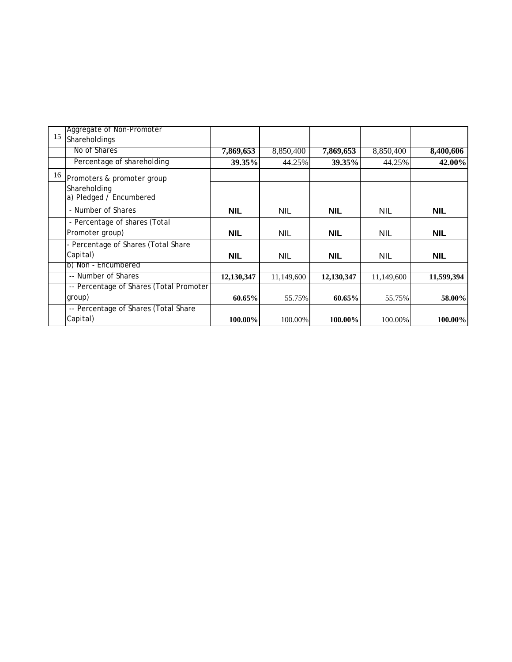|    | Aggregate of Non-Promoter               |            |            |            |            |            |
|----|-----------------------------------------|------------|------------|------------|------------|------------|
| 15 | Shareholdings                           |            |            |            |            |            |
|    | No of Shares                            | 7,869,653  | 8,850,400  | 7,869,653  | 8,850,400  | 8,400,606  |
|    | Percentage of shareholding              | 39.35%     | 44.25%     | 39.35%     | 44.25%     | 42.00%     |
| 16 | Promoters & promoter group              |            |            |            |            |            |
|    | Shareholding                            |            |            |            |            |            |
|    | a) Pledged / Encumbered                 |            |            |            |            |            |
|    | - Number of Shares                      | <b>NIL</b> | NIL        | <b>NIL</b> | <b>NIL</b> | <b>NIL</b> |
|    | - Percentage of shares (Total           |            |            |            |            |            |
|    | Promoter group)                         | <b>NIL</b> | <b>NIL</b> | <b>NIL</b> | <b>NIL</b> | <b>NIL</b> |
|    | - Percentage of Shares (Total Share     |            |            |            |            |            |
|    | Capital)                                | <b>NIL</b> | <b>NIL</b> | <b>NIL</b> | <b>NIL</b> | <b>NIL</b> |
|    | b) Non - Encumbered                     |            |            |            |            |            |
|    | -- Number of Shares                     | 12,130,347 | 11,149,600 | 12,130,347 | 11,149,600 | 11,599,394 |
|    | -- Percentage of Shares (Total Promoter |            |            |            |            |            |
|    | group)                                  | 60.65%     | 55.75%     | 60.65%     | 55.75%     | 58.00%     |
|    | -- Percentage of Shares (Total Share    |            |            |            |            |            |
|    | Capital)                                | 100.00%    | 100.00%    | 100.00%    | 100.00%    | 100.00%    |